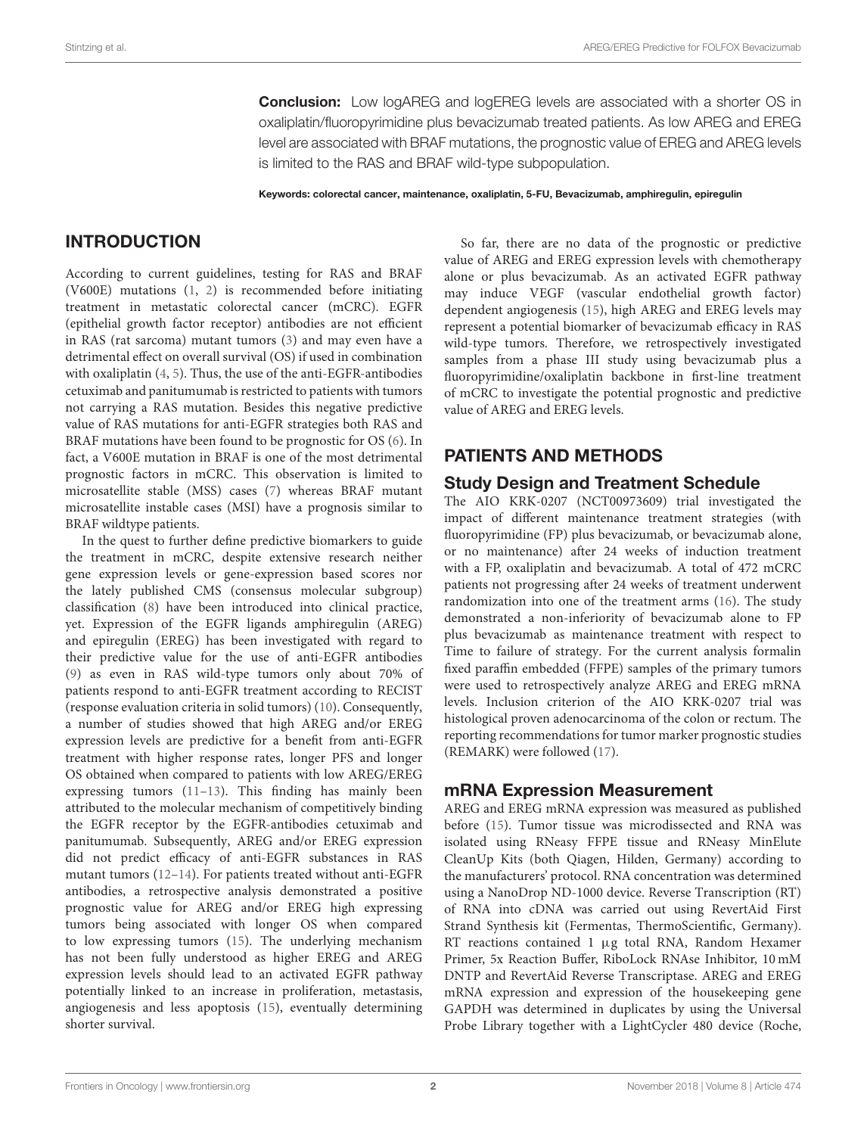**Conclusion:** Low logAREG and logEREG levels are associated with a shorter OS in oxaliplatin/fluoropyrimidine plus bevacizumab treated patients. As low AREG and EREG level are associated with BRAF mutations, the prognostic value of EREG and AREG levels is limited to the RAS and BRAF wild-type subpopulation.

Keywords: colorectal cancer, maintenance, oxaliplatin, 5-FU, Bevacizumab, amphiregulin, epiregulin

# INTRODUCTION

According to current guidelines, testing for RAS and BRAF (V600E) mutations [\(1,](#page-7-0) [2\)](#page-7-1) is recommended before initiating treatment in metastatic colorectal cancer (mCRC). EGFR (epithelial growth factor receptor) antibodies are not efficient in RAS (rat sarcoma) mutant tumors [\(3\)](#page-7-2) and may even have a detrimental effect on overall survival (OS) if used in combination with oxaliplatin [\(4,](#page-7-3) [5\)](#page-7-4). Thus, the use of the anti-EGFR-antibodies cetuximab and panitumumab is restricted to patients with tumors not carrying a RAS mutation. Besides this negative predictive value of RAS mutations for anti-EGFR strategies both RAS and BRAF mutations have been found to be prognostic for OS [\(6\)](#page-7-5). In fact, a V600E mutation in BRAF is one of the most detrimental prognostic factors in mCRC. This observation is limited to microsatellite stable (MSS) cases [\(7\)](#page-7-6) whereas BRAF mutant microsatellite instable cases (MSI) have a prognosis similar to BRAF wildtype patients.

In the quest to further define predictive biomarkers to guide the treatment in mCRC, despite extensive research neither gene expression levels or gene-expression based scores nor the lately published CMS (consensus molecular subgroup) classification [\(8\)](#page-7-7) have been introduced into clinical practice, yet. Expression of the EGFR ligands amphiregulin (AREG) and epiregulin (EREG) has been investigated with regard to their predictive value for the use of anti-EGFR antibodies [\(9\)](#page-7-8) as even in RAS wild-type tumors only about 70% of patients respond to anti-EGFR treatment according to RECIST (response evaluation criteria in solid tumors) [\(10\)](#page-7-9). Consequently, a number of studies showed that high AREG and/or EREG expression levels are predictive for a benefit from anti-EGFR treatment with higher response rates, longer PFS and longer OS obtained when compared to patients with low AREG/EREG expressing tumors [\(11](#page-7-10)[–13\)](#page-7-11). This finding has mainly been attributed to the molecular mechanism of competitively binding the EGFR receptor by the EGFR-antibodies cetuximab and panitumumab. Subsequently, AREG and/or EREG expression did not predict efficacy of anti-EGFR substances in RAS mutant tumors [\(12](#page-7-12)[–14\)](#page-7-13). For patients treated without anti-EGFR antibodies, a retrospective analysis demonstrated a positive prognostic value for AREG and/or EREG high expressing tumors being associated with longer OS when compared to low expressing tumors [\(15\)](#page-7-14). The underlying mechanism has not been fully understood as higher EREG and AREG expression levels should lead to an activated EGFR pathway potentially linked to an increase in proliferation, metastasis, angiogenesis and less apoptosis [\(15\)](#page-7-14), eventually determining shorter survival.

So far, there are no data of the prognostic or predictive value of AREG and EREG expression levels with chemotherapy alone or plus bevacizumab. As an activated EGFR pathway may induce VEGF (vascular endothelial growth factor) dependent angiogenesis [\(15\)](#page-7-14), high AREG and EREG levels may represent a potential biomarker of bevacizumab efficacy in RAS wild-type tumors. Therefore, we retrospectively investigated samples from a phase III study using bevacizumab plus a fluoropyrimidine/oxaliplatin backbone in first-line treatment of mCRC to investigate the potential prognostic and predictive value of AREG and EREG levels.

### PATIENTS AND METHODS

### Study Design and Treatment Schedule

The AIO KRK-0207 (NCT00973609) trial investigated the impact of different maintenance treatment strategies (with fluoropyrimidine (FP) plus bevacizumab, or bevacizumab alone, or no maintenance) after 24 weeks of induction treatment with a FP, oxaliplatin and bevacizumab. A total of 472 mCRC patients not progressing after 24 weeks of treatment underwent randomization into one of the treatment arms [\(16\)](#page-7-15). The study demonstrated a non-inferiority of bevacizumab alone to FP plus bevacizumab as maintenance treatment with respect to Time to failure of strategy. For the current analysis formalin fixed paraffin embedded (FFPE) samples of the primary tumors were used to retrospectively analyze AREG and EREG mRNA levels. Inclusion criterion of the AIO KRK-0207 trial was histological proven adenocarcinoma of the colon or rectum. The reporting recommendations for tumor marker prognostic studies (REMARK) were followed [\(17\)](#page-7-16).

### mRNA Expression Measurement

AREG and EREG mRNA expression was measured as published before [\(15\)](#page-7-14). Tumor tissue was microdissected and RNA was isolated using RNeasy FFPE tissue and RNeasy MinElute CleanUp Kits (both Qiagen, Hilden, Germany) according to the manufacturers' protocol. RNA concentration was determined using a NanoDrop ND-1000 device. Reverse Transcription (RT) of RNA into cDNA was carried out using RevertAid First Strand Synthesis kit (Fermentas, ThermoScientific, Germany). RT reactions contained 1 µg total RNA, Random Hexamer Primer, 5x Reaction Buffer, RiboLock RNAse Inhibitor, 10 mM DNTP and RevertAid Reverse Transcriptase. AREG and EREG mRNA expression and expression of the housekeeping gene GAPDH was determined in duplicates by using the Universal Probe Library together with a LightCycler 480 device (Roche,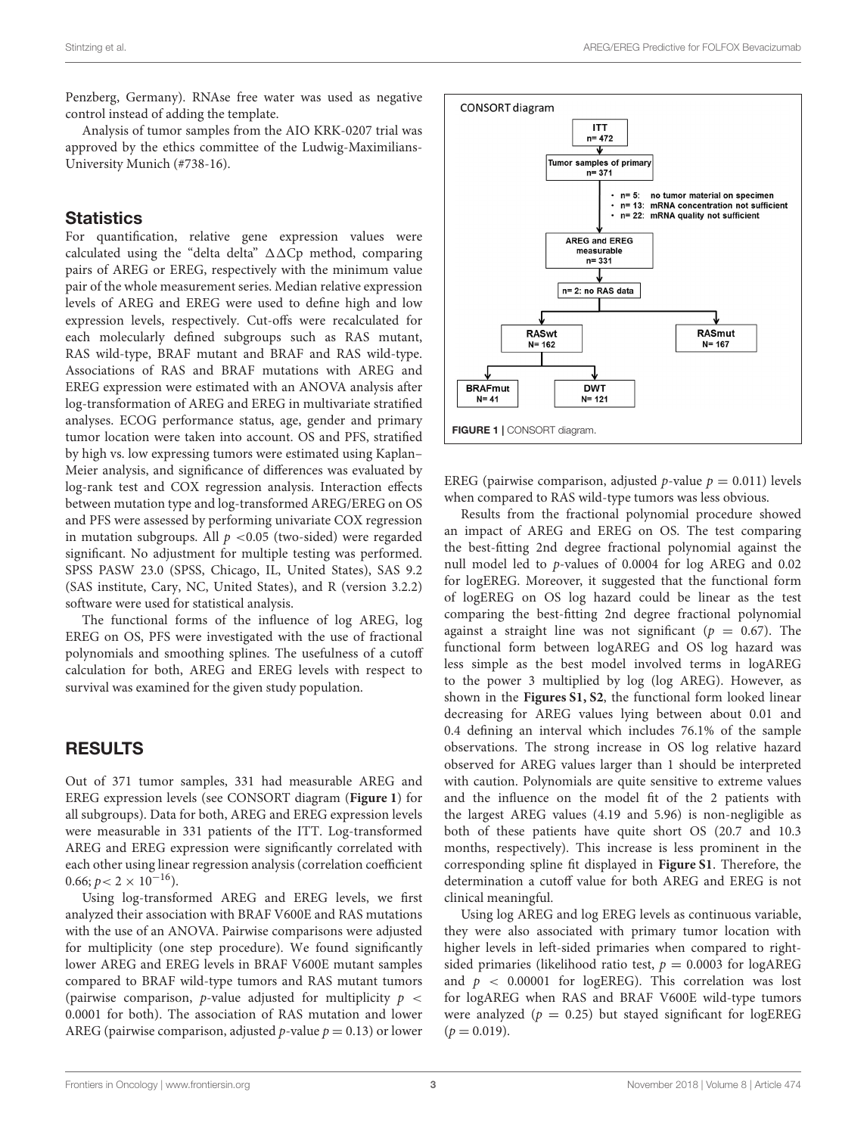Penzberg, Germany). RNAse free water was used as negative control instead of adding the template.

Analysis of tumor samples from the AIO KRK-0207 trial was approved by the ethics committee of the Ludwig-Maximilians-University Munich (#738-16).

### **Statistics**

For quantification, relative gene expression values were calculated using the "delta delta"  $\Delta\Delta$ Cp method, comparing pairs of AREG or EREG, respectively with the minimum value pair of the whole measurement series. Median relative expression levels of AREG and EREG were used to define high and low expression levels, respectively. Cut-offs were recalculated for each molecularly defined subgroups such as RAS mutant, RAS wild-type, BRAF mutant and BRAF and RAS wild-type. Associations of RAS and BRAF mutations with AREG and EREG expression were estimated with an ANOVA analysis after log-transformation of AREG and EREG in multivariate stratified analyses. ECOG performance status, age, gender and primary tumor location were taken into account. OS and PFS, stratified by high vs. low expressing tumors were estimated using Kaplan– Meier analysis, and significance of differences was evaluated by log-rank test and COX regression analysis. Interaction effects between mutation type and log-transformed AREG/EREG on OS and PFS were assessed by performing univariate COX regression in mutation subgroups. All  $p < 0.05$  (two-sided) were regarded significant. No adjustment for multiple testing was performed. SPSS PASW 23.0 (SPSS, Chicago, IL, United States), SAS 9.2 (SAS institute, Cary, NC, United States), and R (version 3.2.2) software were used for statistical analysis.

The functional forms of the influence of log AREG, log EREG on OS, PFS were investigated with the use of fractional polynomials and smoothing splines. The usefulness of a cutoff calculation for both, AREG and EREG levels with respect to survival was examined for the given study population.

## RESULTS

Out of 371 tumor samples, 331 had measurable AREG and EREG expression levels (see CONSORT diagram (**[Figure 1](#page-2-0)**) for all subgroups). Data for both, AREG and EREG expression levels were measurable in 331 patients of the ITT. Log-transformed AREG and EREG expression were significantly correlated with each other using linear regression analysis (correlation coefficient  $0.66; p < 2 \times 10^{-16}$ ).

Using log-transformed AREG and EREG levels, we first analyzed their association with BRAF V600E and RAS mutations with the use of an ANOVA. Pairwise comparisons were adjusted for multiplicity (one step procedure). We found significantly lower AREG and EREG levels in BRAF V600E mutant samples compared to BRAF wild-type tumors and RAS mutant tumors (pairwise comparison, p-value adjusted for multiplicity  $p \lt \ell$ 0.0001 for both). The association of RAS mutation and lower AREG (pairwise comparison, adjusted  $p$ -value  $p = 0.13$ ) or lower



<span id="page-2-0"></span>EREG (pairwise comparison, adjusted p-value  $p = 0.011$ ) levels when compared to RAS wild-type tumors was less obvious.

Results from the fractional polynomial procedure showed an impact of AREG and EREG on OS. The test comparing the best-fitting 2nd degree fractional polynomial against the null model led to p-values of 0.0004 for log AREG and 0.02 for logEREG. Moreover, it suggested that the functional form of logEREG on OS log hazard could be linear as the test comparing the best-fitting 2nd degree fractional polynomial against a straight line was not significant ( $p = 0.67$ ). The functional form between logAREG and OS log hazard was less simple as the best model involved terms in logAREG to the power 3 multiplied by log (log AREG). However, as shown in the **[Figures S1, S2](#page-6-0)**, the functional form looked linear decreasing for AREG values lying between about 0.01 and 0.4 defining an interval which includes 76.1% of the sample observations. The strong increase in OS log relative hazard observed for AREG values larger than 1 should be interpreted with caution. Polynomials are quite sensitive to extreme values and the influence on the model fit of the 2 patients with the largest AREG values (4.19 and 5.96) is non-negligible as both of these patients have quite short OS (20.7 and 10.3 months, respectively). This increase is less prominent in the corresponding spline fit displayed in **[Figure S1](#page-6-0)**. Therefore, the determination a cutoff value for both AREG and EREG is not clinical meaningful.

Using log AREG and log EREG levels as continuous variable, they were also associated with primary tumor location with higher levels in left-sided primaries when compared to rightsided primaries (likelihood ratio test,  $p = 0.0003$  for logAREG and  $p < 0.00001$  for logEREG). This correlation was lost for logAREG when RAS and BRAF V600E wild-type tumors were analyzed ( $p = 0.25$ ) but stayed significant for logEREG  $(p = 0.019)$ .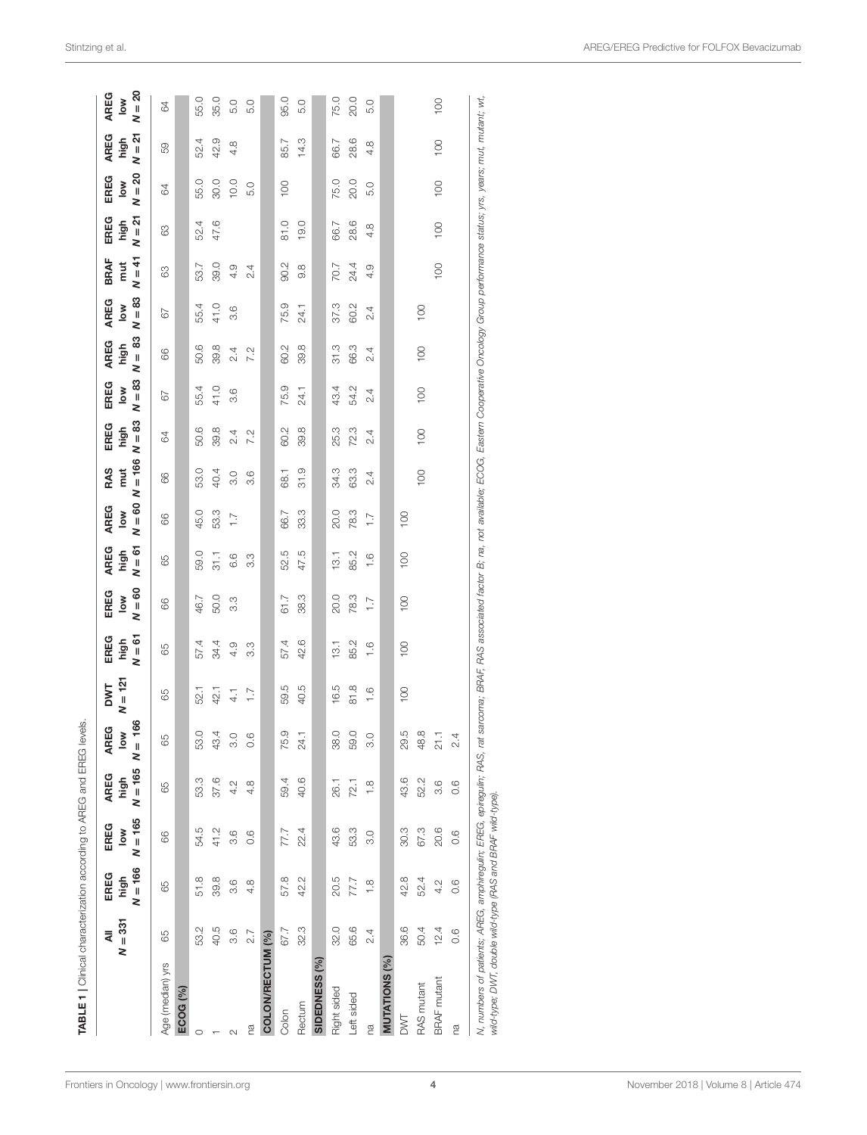|                     | $N = 331$<br>₹ | $N = 166$<br>EREG<br>high | $N = 165$<br>EREG<br>$\frac{8}{10}$ | $N = 165$<br>AREG<br>high | 166<br>AREG<br>low<br>$\bar{\mathbf{z}}$ | $N = 121$<br><b>DWT</b> | $N = 61$<br>EREG<br>high | $N = 60$<br>EREG<br>$\frac{8}{10}$ | $N = 61$<br>AREG<br>high | $N = 60$<br><b>AREG</b><br>$\sum_{i=1}^{n}$ | $N = 166$<br>RAS<br>mut | $N = 83$<br>EREG<br>high | $N = 83$<br>EREG<br>$\frac{8}{10}$ | $N = 83$<br>AREG<br>high | $N = 83$<br><b>AREG</b><br>$\frac{8}{6}$ | $N = 41$<br><b>BRAF</b><br>mut | $N = 21$<br>EREG<br>high | $N = 20$<br>EREG<br>$\frac{8}{6}$ | $N = 21$<br>AREG<br>high | $N = 20$<br>AREG<br>$\frac{8}{10}$ |
|---------------------|----------------|---------------------------|-------------------------------------|---------------------------|------------------------------------------|-------------------------|--------------------------|------------------------------------|--------------------------|---------------------------------------------|-------------------------|--------------------------|------------------------------------|--------------------------|------------------------------------------|--------------------------------|--------------------------|-----------------------------------|--------------------------|------------------------------------|
| Age (median) yrs    | 65             | 89                        | 66                                  | 65                        | 65                                       | 65                      | 65                       | 66                                 | 65                       | 66                                          | 66                      | 84                       | 67                                 | 66                       | 67                                       | 63                             | 83                       | 64                                | 59                       | 84                                 |
| ECOG <sub>(%)</sub> |                |                           |                                     |                           |                                          |                         |                          |                                    |                          |                                             |                         |                          |                                    |                          |                                          |                                |                          |                                   |                          |                                    |
|                     | 53.2           | 51.8                      | 54.5                                | 53.3                      | 53.0                                     | 52.1                    | 57.4                     | 46.7                               | 59.0                     | 45.0                                        | 53.0                    | 50.6                     | 55.4                               | 50.6                     | 55.4                                     | 53.7                           | 52.4                     | 55.0                              | 52.4                     | 55.0                               |
|                     | 40.5           | 39.8                      | 41.2                                | 37.6                      | 43.4                                     | 42.1                    | 34.4                     | 50.0                               | 31.1                     | 53.3                                        | 40.4                    | 39.8                     | 41.0                               | 39.8                     | 41.0                                     | 39.0                           | 47.6                     | 30.0                              | 42.9                     | 35.0                               |
|                     | 3.6            | $\circ$<br>က              | 3.6                                 | 4.2                       | 3.0                                      | $\frac{1}{4}$           | 4.9                      | 3.3                                | 6.6                      | $\overline{1}$ .                            | 3.0                     | 2.4                      | 3.6                                | 2.4                      | 3.6                                      | 4.9                            |                          | 10.0                              | 4.8                      | 5.0                                |
| ß                   | 2.7            | 4.                        | 0.6                                 | œ<br>4                    | $\circ$<br>$\circ$                       | $\overline{1}$ .        | 3.3                      |                                    | 3.3                      |                                             | 3.6                     | 7.2                      |                                    | 7.2                      |                                          | 2.4                            |                          | 5.0                               |                          | 5.0                                |
| COLON/RECTUM (%)    |                |                           |                                     |                           |                                          |                         |                          |                                    |                          |                                             |                         |                          |                                    |                          |                                          |                                |                          |                                   |                          |                                    |
| Colon               | 67.7           | 57.8                      | 77.7                                | 59.4                      | 75.9                                     | 59.5                    | 57.4                     | 61.7                               | 52.5                     | 66.7                                        | 68.1                    | 60.2                     | 75.9                               | 60.2                     | 75.9                                     | 90.2                           | 81.0                     | 100                               | 85.7                     | 95.0                               |
| Rectum              | 32.3           | 42.2                      | 22.4                                | 40.6                      | 24.1                                     | 40.5                    | 42.6                     | 38.3                               | 47.5                     | 33.3                                        | 31.9                    | 39.8                     | 24.1                               | 39.8                     | 24.1                                     | 9.9                            | 19.0                     |                                   | 14.3                     | 5.0                                |
| SIDEDNESS (%)       |                |                           |                                     |                           |                                          |                         |                          |                                    |                          |                                             |                         |                          |                                    |                          |                                          |                                |                          |                                   |                          |                                    |
| Right sided         | 32.0           | 20.5                      | 43.6                                | 26.1                      | Q<br>38                                  | 16.5                    | 13.1                     | 20.0                               | 13.1                     | 20.0                                        | 34.3                    | 25.3                     | 43.4                               | 31.3                     | 37.3                                     | 70.7                           | 66.7                     | 75.0                              | 66.7                     | 75.0                               |
| -eft sided          | 65.6           | 77.7                      | 53.3                                | 72.1                      | 59.0                                     | 81.8                    | 85.2                     | 78.3                               | 85.2                     | 78.3                                        | 63.3                    | 72.3                     | 54.2                               | 66.3                     | 60.2                                     | 24.4                           | 28.6                     | 20.0                              | 28.6                     | 20.0                               |
| m<br>Ca             | 2.4            | $\frac{8}{1}$             | 3.0                                 | $\frac{8}{1}$             | $\circ$<br>က                             | $\frac{6}{1}$           | $\frac{6}{1}$            | $\overline{1}$ .                   | $\frac{6}{1}$            | $\overline{1}$ .                            | 2.4                     | $\ddot{2.4}$             | 2.4                                | 2.4                      | 2.4                                      | 4.9                            | 4.8                      | 5.0                               | $4.\overline{8}$         | 5.0                                |
| <b>MUTATIONS</b>    |                |                           |                                     |                           |                                          |                         |                          |                                    |                          |                                             |                         |                          |                                    |                          |                                          |                                |                          |                                   |                          |                                    |
| DWT                 | 36.6           | 42.8                      | 30.3                                | 43.6                      | LQ.<br>$\mathbb{S}^2$                    | 100                     | 100                      | 100                                | $\overline{100}$         | 100                                         |                         |                          |                                    |                          |                                          |                                |                          |                                   |                          |                                    |
| <b>RAS</b> mutant   | 50.4           | 52.4                      | 67.3                                | 52.2                      | œ<br>$rac{8}{4}$                         |                         |                          |                                    |                          |                                             | 100                     | 100                      | 100                                | $\overline{0}$           | 100                                      |                                |                          |                                   |                          |                                    |
| <b>BRAF</b> mutant  | 12.4           | 4.2                       | 20.6                                | 3.6                       | π,<br>$\overline{\mathcal{L}}$           |                         |                          |                                    |                          |                                             |                         |                          |                                    |                          |                                          | $\overline{100}$               | $\overline{100}$         | 100                               | $\overline{0}$           | 100                                |
| na                  | 0.6            | 0.6                       | 0.6                                 | 0.6                       | $\sim$                                   |                         |                          |                                    |                          |                                             |                         |                          |                                    |                          |                                          |                                |                          |                                   |                          |                                    |

<span id="page-3-0"></span>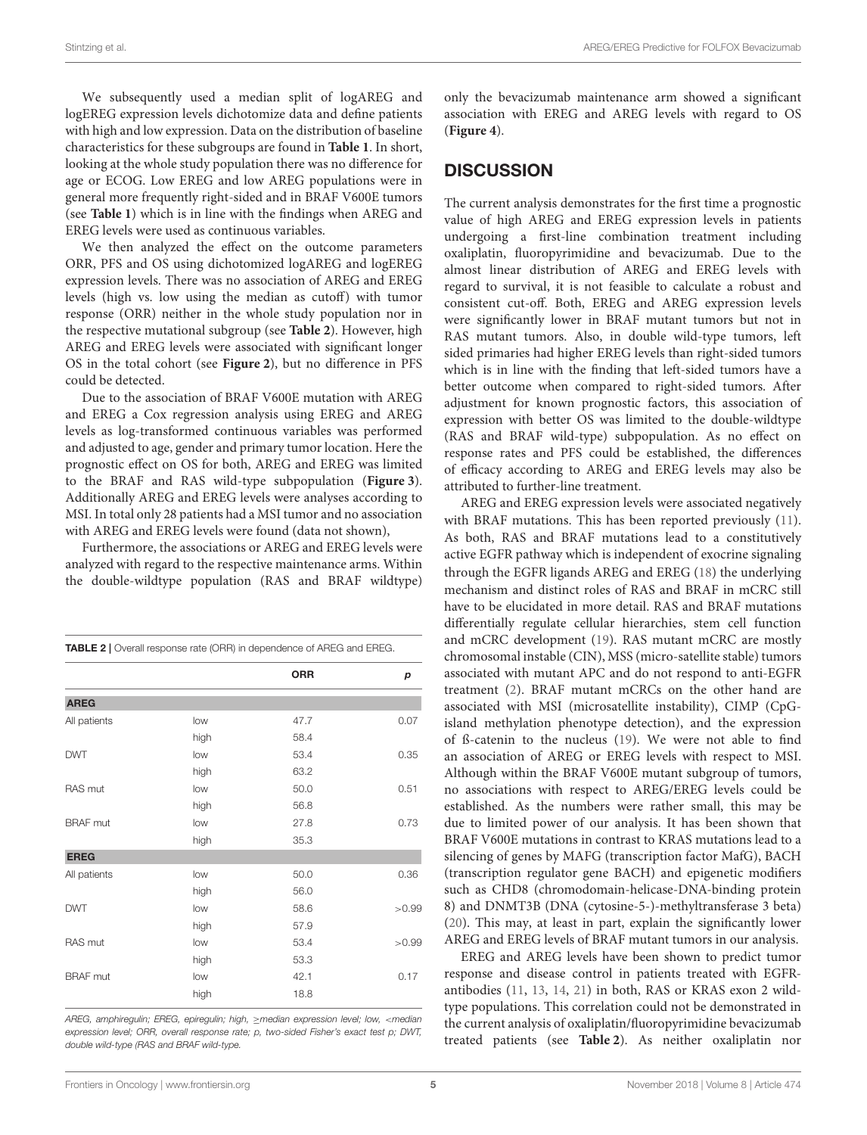We subsequently used a median split of logAREG and logEREG expression levels dichotomize data and define patients with high and low expression. Data on the distribution of baseline characteristics for these subgroups are found in **[Table 1](#page-3-0)**. In short, looking at the whole study population there was no difference for age or ECOG. Low EREG and low AREG populations were in general more frequently right-sided and in BRAF V600E tumors (see **[Table 1](#page-3-0)**) which is in line with the findings when AREG and EREG levels were used as continuous variables.

We then analyzed the effect on the outcome parameters ORR, PFS and OS using dichotomized logAREG and logEREG expression levels. There was no association of AREG and EREG levels (high vs. low using the median as cutoff) with tumor response (ORR) neither in the whole study population nor in the respective mutational subgroup (see **[Table 2](#page-4-0)**). However, high AREG and EREG levels were associated with significant longer OS in the total cohort (see **[Figure 2](#page-5-0)**), but no difference in PFS could be detected.

Due to the association of BRAF V600E mutation with AREG and EREG a Cox regression analysis using EREG and AREG levels as log-transformed continuous variables was performed and adjusted to age, gender and primary tumor location. Here the prognostic effect on OS for both, AREG and EREG was limited to the BRAF and RAS wild-type subpopulation (**[Figure 3](#page-5-1)**). Additionally AREG and EREG levels were analyses according to MSI. In total only 28 patients had a MSI tumor and no association with AREG and EREG levels were found (data not shown),

Furthermore, the associations or AREG and EREG levels were analyzed with regard to the respective maintenance arms. Within the double-wildtype population (RAS and BRAF wildtype)

<span id="page-4-0"></span>

|                 |      | TABLE 2   Overall response rate (ORR) in dependence of AREG and EREG. |       |
|-----------------|------|-----------------------------------------------------------------------|-------|
|                 |      | <b>ORR</b>                                                            | р     |
| <b>AREG</b>     |      |                                                                       |       |
| All patients    | low  | 47.7                                                                  | 0.07  |
|                 | high | 58.4                                                                  |       |
| <b>DWT</b>      | low  | 53.4                                                                  | 0.35  |
|                 | high | 63.2                                                                  |       |
| RAS mut         | low  | 50.0                                                                  | 0.51  |
|                 | high | 56.8                                                                  |       |
| <b>BRAF</b> mut | low  | 27.8                                                                  | 0.73  |
|                 | high | 35.3                                                                  |       |
| <b>EREG</b>     |      |                                                                       |       |
| All patients    | low  | 50.0                                                                  | 0.36  |
|                 | high | 56.0                                                                  |       |
| <b>DWT</b>      | low  | 58.6                                                                  | >0.99 |
|                 | high | 57.9                                                                  |       |
| RAS mut         | low  | 53.4                                                                  | >0.99 |
|                 | high | 53.3                                                                  |       |
| <b>BRAF</b> mut | low  | 42.1                                                                  | 0.17  |
|                 | high | 18.8                                                                  |       |

AREG, amphiregulin; EREG, epiregulin; high, ≥median expression level; low, <median expression level; ORR, overall response rate; p, two-sided Fisher's exact test p; DWT, double wild-type (RAS and BRAF wild-type.

only the bevacizumab maintenance arm showed a significant association with EREG and AREG levels with regard to OS (**[Figure 4](#page-6-1)**).

# **DISCUSSION**

The current analysis demonstrates for the first time a prognostic value of high AREG and EREG expression levels in patients undergoing a first-line combination treatment including oxaliplatin, fluoropyrimidine and bevacizumab. Due to the almost linear distribution of AREG and EREG levels with regard to survival, it is not feasible to calculate a robust and consistent cut-off. Both, EREG and AREG expression levels were significantly lower in BRAF mutant tumors but not in RAS mutant tumors. Also, in double wild-type tumors, left sided primaries had higher EREG levels than right-sided tumors which is in line with the finding that left-sided tumors have a better outcome when compared to right-sided tumors. After adjustment for known prognostic factors, this association of expression with better OS was limited to the double-wildtype (RAS and BRAF wild-type) subpopulation. As no effect on response rates and PFS could be established, the differences of efficacy according to AREG and EREG levels may also be attributed to further-line treatment.

AREG and EREG expression levels were associated negatively with BRAF mutations. This has been reported previously [\(11\)](#page-7-10). As both, RAS and BRAF mutations lead to a constitutively active EGFR pathway which is independent of exocrine signaling through the EGFR ligands AREG and EREG [\(18\)](#page-7-17) the underlying mechanism and distinct roles of RAS and BRAF in mCRC still have to be elucidated in more detail. RAS and BRAF mutations differentially regulate cellular hierarchies, stem cell function and mCRC development [\(19\)](#page-7-18). RAS mutant mCRC are mostly chromosomal instable (CIN), MSS (micro-satellite stable) tumors associated with mutant APC and do not respond to anti-EGFR treatment [\(2\)](#page-7-1). BRAF mutant mCRCs on the other hand are associated with MSI (microsatellite instability), CIMP (CpGisland methylation phenotype detection), and the expression of ß-catenin to the nucleus [\(19\)](#page-7-18). We were not able to find an association of AREG or EREG levels with respect to MSI. Although within the BRAF V600E mutant subgroup of tumors, no associations with respect to AREG/EREG levels could be established. As the numbers were rather small, this may be due to limited power of our analysis. It has been shown that BRAF V600E mutations in contrast to KRAS mutations lead to a silencing of genes by MAFG (transcription factor MafG), BACH (transcription regulator gene BACH) and epigenetic modifiers such as CHD8 (chromodomain-helicase-DNA-binding protein 8) and DNMT3B (DNA (cytosine-5-)-methyltransferase 3 beta) [\(20\)](#page-7-19). This may, at least in part, explain the significantly lower AREG and EREG levels of BRAF mutant tumors in our analysis.

EREG and AREG levels have been shown to predict tumor response and disease control in patients treated with EGFRantibodies [\(11,](#page-7-10) [13,](#page-7-11) [14,](#page-7-13) [21\)](#page-7-20) in both, RAS or KRAS exon 2 wildtype populations. This correlation could not be demonstrated in the current analysis of oxaliplatin/fluoropyrimidine bevacizumab treated patients (see **[Table 2](#page-4-0)**). As neither oxaliplatin nor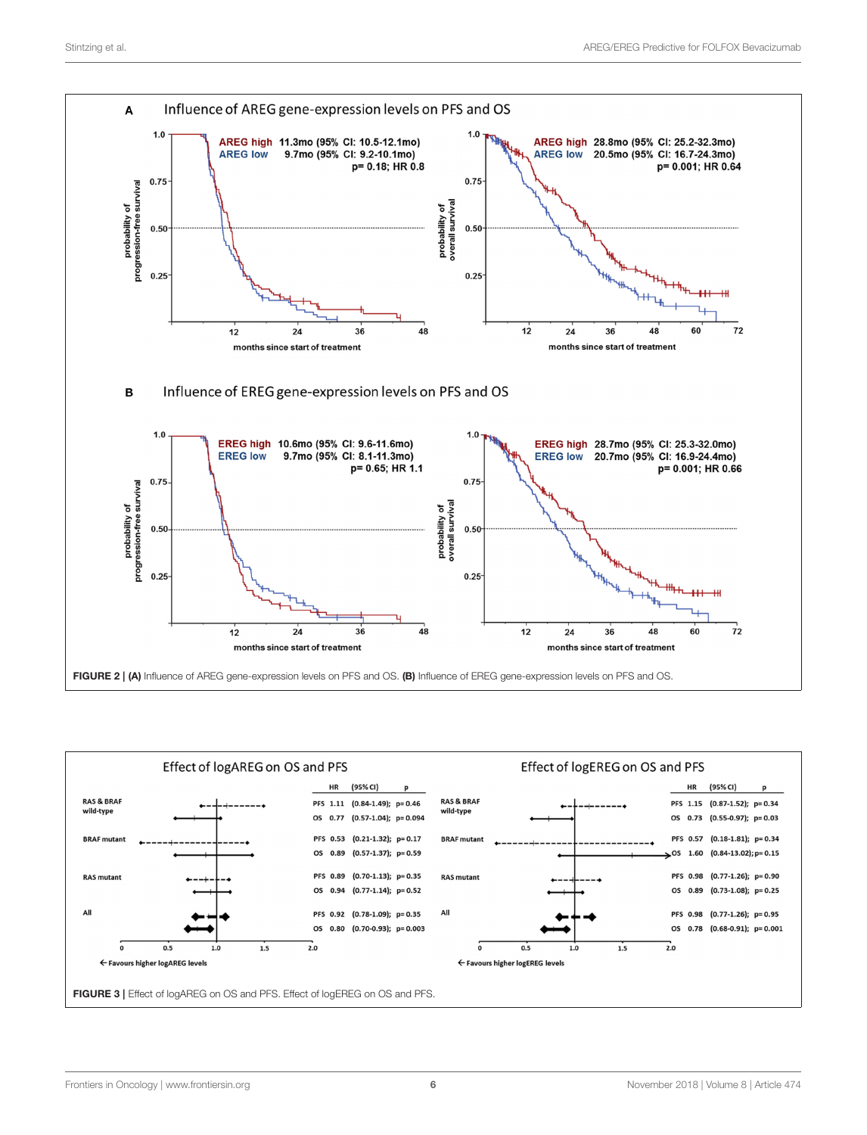

<span id="page-5-1"></span><span id="page-5-0"></span>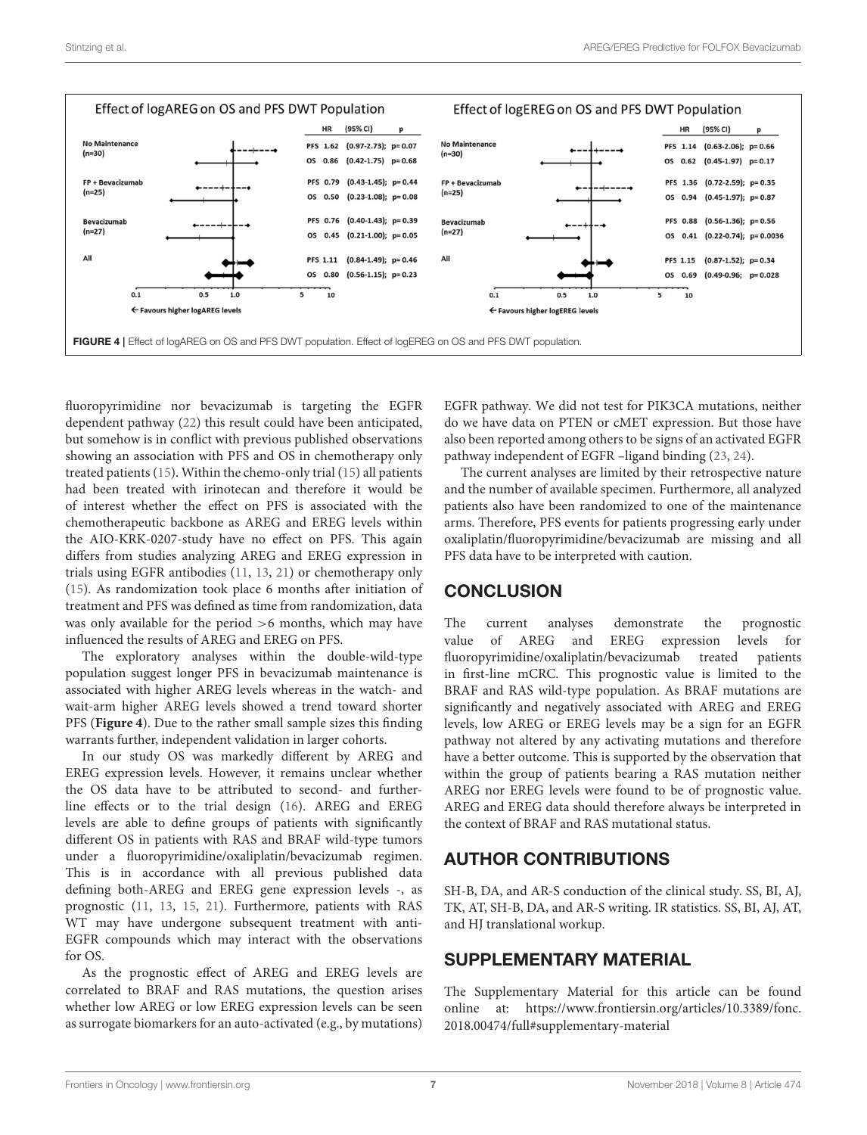

<span id="page-6-1"></span>fluoropyrimidine nor bevacizumab is targeting the EGFR dependent pathway [\(22\)](#page-7-21) this result could have been anticipated, but somehow is in conflict with previous published observations showing an association with PFS and OS in chemotherapy only treated patients [\(15\)](#page-7-14). Within the chemo-only trial [\(15\)](#page-7-14) all patients had been treated with irinotecan and therefore it would be of interest whether the effect on PFS is associated with the chemotherapeutic backbone as AREG and EREG levels within the AIO-KRK-0207-study have no effect on PFS. This again differs from studies analyzing AREG and EREG expression in trials using EGFR antibodies [\(11,](#page-7-10) [13,](#page-7-11) [21\)](#page-7-20) or chemotherapy only [\(15\)](#page-7-14). As randomization took place 6 months after initiation of treatment and PFS was defined as time from randomization, data was only available for the period >6 months, which may have influenced the results of AREG and EREG on PFS.

The exploratory analyses within the double-wild-type population suggest longer PFS in bevacizumab maintenance is associated with higher AREG levels whereas in the watch- and wait-arm higher AREG levels showed a trend toward shorter PFS (**[Figure 4](#page-6-1)**). Due to the rather small sample sizes this finding warrants further, independent validation in larger cohorts.

In our study OS was markedly different by AREG and EREG expression levels. However, it remains unclear whether the OS data have to be attributed to second- and furtherline effects or to the trial design [\(16\)](#page-7-15). AREG and EREG levels are able to define groups of patients with significantly different OS in patients with RAS and BRAF wild-type tumors under a fluoropyrimidine/oxaliplatin/bevacizumab regimen. This is in accordance with all previous published data defining both-AREG and EREG gene expression levels -, as prognostic [\(11,](#page-7-10) [13,](#page-7-11) [15,](#page-7-14) [21\)](#page-7-20). Furthermore, patients with RAS WT may have undergone subsequent treatment with anti-EGFR compounds which may interact with the observations for OS.

As the prognostic effect of AREG and EREG levels are correlated to BRAF and RAS mutations, the question arises whether low AREG or low EREG expression levels can be seen as surrogate biomarkers for an auto-activated (e.g., by mutations)

EGFR pathway. We did not test for PIK3CA mutations, neither do we have data on PTEN or cMET expression. But those have also been reported among others to be signs of an activated EGFR pathway independent of EGFR –ligand binding [\(23,](#page-7-22) [24\)](#page-7-23).

The current analyses are limited by their retrospective nature and the number of available specimen. Furthermore, all analyzed patients also have been randomized to one of the maintenance arms. Therefore, PFS events for patients progressing early under oxaliplatin/fluoropyrimidine/bevacizumab are missing and all PFS data have to be interpreted with caution.

# **CONCLUSION**

The current analyses demonstrate the prognostic value of AREG and EREG expression levels for fluoropyrimidine/oxaliplatin/bevacizumab treated patients in first-line mCRC. This prognostic value is limited to the BRAF and RAS wild-type population. As BRAF mutations are significantly and negatively associated with AREG and EREG levels, low AREG or EREG levels may be a sign for an EGFR pathway not altered by any activating mutations and therefore have a better outcome. This is supported by the observation that within the group of patients bearing a RAS mutation neither AREG nor EREG levels were found to be of prognostic value. AREG and EREG data should therefore always be interpreted in the context of BRAF and RAS mutational status.

# AUTHOR CONTRIBUTIONS

SH-B, DA, and AR-S conduction of the clinical study. SS, BI, AJ, TK, AT, SH-B, DA, and AR-S writing. IR statistics. SS, BI, AJ, AT, and HJ translational workup.

## SUPPLEMENTARY MATERIAL

<span id="page-6-0"></span>The Supplementary Material for this article can be found [online at: https://www.frontiersin.org/articles/10.3389/fonc.](https://www.frontiersin.org/articles/10.3389/fonc.2018.00474/full#supplementary-material) 2018.00474/full#supplementary-material